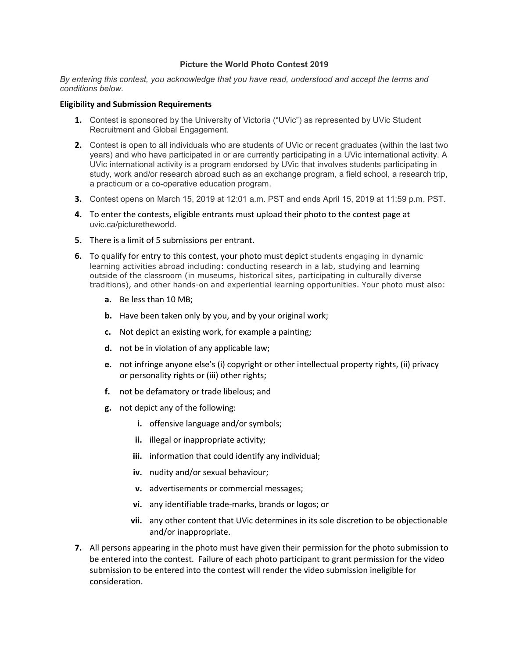## **Picture the World Photo Contest 2019**

*By entering this contest, you acknowledge that you have read, understood and accept the terms and conditions below.*

## **Eligibility and Submission Requirements**

- **1.** Contest is sponsored by the University of Victoria ("UVic") as represented by UVic Student Recruitment and Global Engagement.
- **2.** Contest is open to all individuals who are students of UVic or recent graduates (within the last two years) and who have participated in or are currently participating in a UVic international activity. A UVic international activity is a program endorsed by UVic that involves students participating in study, work and/or research abroad such as an exchange program, a field school, a research trip, a practicum or a co-operative education program.
- **3.** Contest opens on March 15, 2019 at 12:01 a.m. PST and ends April 15, 2019 at 11:59 p.m. PST.
- **4.** To enter the contests, eligible entrants must upload their photo to the contest page at uvic.ca/picturetheworld.
- **5.** There is a limit of 5 submissions per entrant.
- **6.** To qualify for entry to this contest, your photo must depict students engaging in dynamic learning activities abroad including: conducting research in a lab, studying and learning outside of the classroom (in museums, historical sites, participating in culturally diverse traditions), and other hands-on and experiential learning opportunities. Your photo must also:
	- **a.** Be less than 10 MB;
	- **b.** Have been taken only by you, and by your original work;
	- **c.** Not depict an existing work, for example a painting;
	- **d.** not be in violation of any applicable law;
	- **e.** not infringe anyone else's (i) copyright or other intellectual property rights, (ii) privacy or personality rights or (iii) other rights;
	- **f.** not be defamatory or trade libelous; and
	- **g.** not depict any of the following:
		- **i.** offensive language and/or symbols;
		- **ii.** illegal or inappropriate activity;
		- **iii.** information that could identify any individual;
		- **iv.** nudity and/or sexual behaviour;
		- **v.** advertisements or commercial messages;
		- **vi.** any identifiable trade-marks, brands or logos; or
		- **vii.** any other content that UVic determines in its sole discretion to be objectionable and/or inappropriate.
- **7.** All persons appearing in the photo must have given their permission for the photo submission to be entered into the contest. Failure of each photo participant to grant permission for the video submission to be entered into the contest will render the video submission ineligible for consideration.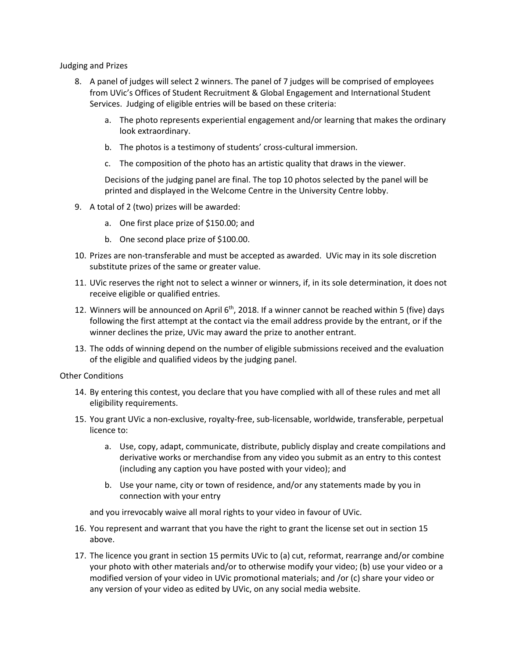Judging and Prizes

- 8. A panel of judges will select 2 winners. The panel of 7 judges will be comprised of employees from UVic's Offices of Student Recruitment & Global Engagement and International Student Services. Judging of eligible entries will be based on these criteria:
	- a. The photo represents experiential engagement and/or learning that makes the ordinary look extraordinary.
	- b. The photos is a testimony of students' cross-cultural immersion.
	- c. The composition of the photo has an artistic quality that draws in the viewer.

Decisions of the judging panel are final. The top 10 photos selected by the panel will be printed and displayed in the Welcome Centre in the University Centre lobby.

- 9. A total of 2 (two) prizes will be awarded:
	- a. One first place prize of \$150.00; and
	- b. One second place prize of \$100.00.
- 10. Prizes are non-transferable and must be accepted as awarded. UVic may in its sole discretion substitute prizes of the same or greater value.
- 11. UVic reserves the right not to select a winner or winners, if, in its sole determination, it does not receive eligible or qualified entries.
- 12. Winners will be announced on April  $6<sup>th</sup>$ , 2018. If a winner cannot be reached within 5 (five) days following the first attempt at the contact via the email address provide by the entrant, or if the winner declines the prize, UVic may award the prize to another entrant.
- 13. The odds of winning depend on the number of eligible submissions received and the evaluation of the eligible and qualified videos by the judging panel.

Other Conditions

- 14. By entering this contest, you declare that you have complied with all of these rules and met all eligibility requirements.
- <span id="page-1-0"></span>15. You grant UVic a non-exclusive, royalty-free, sub-licensable, worldwide, transferable, perpetual licence to:
	- a. Use, copy, adapt, communicate, distribute, publicly display and create compilations and derivative works or merchandise from any video you submit as an entry to this contest (including any caption you have posted with your video); and
	- b. Use your name, city or town of residence, and/or any statements made by you in connection with your entry

and you irrevocably waive all moral rights to your video in favour of UVic.

- 16. You represent and warrant that you have the right to grant the license set out in section [15](#page-1-0) above.
- 17. The licence you grant in section 15 permits UVic to (a) cut, reformat, rearrange and/or combine your photo with other materials and/or to otherwise modify your video; (b) use your video or a modified version of your video in UVic promotional materials; and /or (c) share your video or any version of your video as edited by UVic, on any social media website.